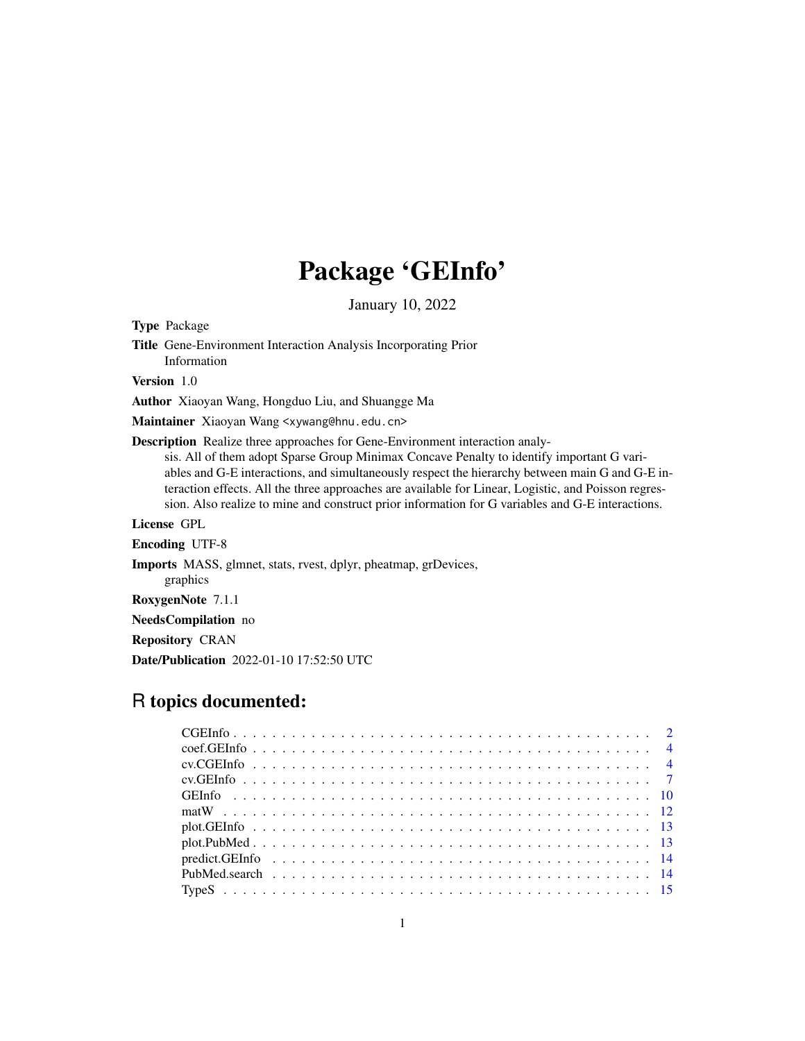# Package 'GEInfo'

January 10, 2022

Type Package

Title Gene-Environment Interaction Analysis Incorporating Prior Information Version 1.0 Author Xiaoyan Wang, Hongduo Liu, and Shuangge Ma Maintainer Xiaoyan Wang <xywang@hnu.edu.cn> Description Realize three approaches for Gene-Environment interaction analysis. All of them adopt Sparse Group Minimax Concave Penalty to identify important G variables and G-E interactions, and simultaneously respect the hierarchy between main G and G-E interaction effects. All the three approaches are available for Linear, Logistic, and Poisson regression. Also realize to mine and construct prior information for G variables and G-E interactions. License GPL Encoding UTF-8 Imports MASS, glmnet, stats, rvest, dplyr, pheatmap, grDevices, graphics RoxygenNote 7.1.1 NeedsCompilation no Repository CRAN

# R topics documented:

Date/Publication 2022-01-10 17:52:50 UTC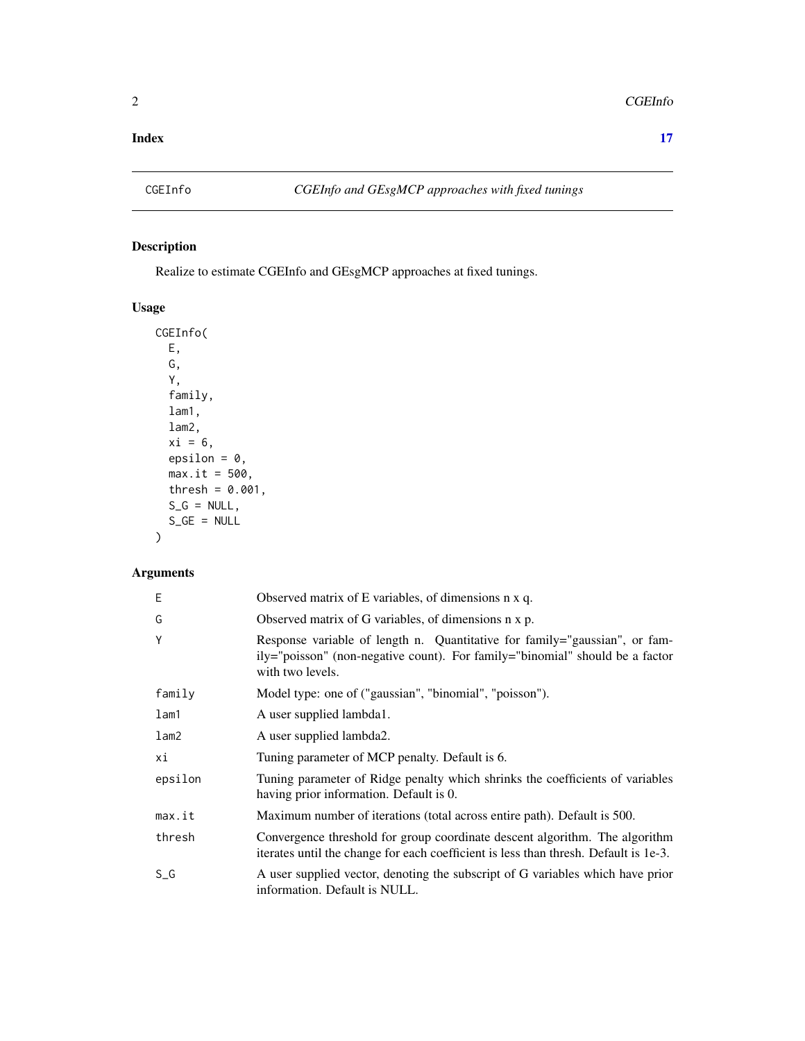#### <span id="page-1-0"></span>**Index** [17](#page-16-0)

# Description

Realize to estimate CGEInfo and GEsgMCP approaches at fixed tunings.

# Usage

```
CGEInfo(
 E,
 G,
 Y,
 family,
 lam1,
  lam2,
 xi = 6,
 epsilon = 0,
 max.it = 500,thresh = 0.001,
  S_G = NULL,S_GE = NULL)
```

| Ε       | Observed matrix of E variables, of dimensions n x q.                                                                                                                           |
|---------|--------------------------------------------------------------------------------------------------------------------------------------------------------------------------------|
| G       | Observed matrix of G variables, of dimensions n x p.                                                                                                                           |
| Y       | Response variable of length n. Quantitative for family="gaussian", or fam-<br>ily="poisson" (non-negative count). For family="binomial" should be a factor<br>with two levels. |
| family  | Model type: one of ("gaussian", "binomial", "poisson").                                                                                                                        |
| $l$ am1 | A user supplied lambda1.                                                                                                                                                       |
| lam2    | A user supplied lambda2.                                                                                                                                                       |
| хi      | Tuning parameter of MCP penalty. Default is 6.                                                                                                                                 |
| epsilon | Tuning parameter of Ridge penalty which shrinks the coefficients of variables<br>having prior information. Default is 0.                                                       |
| max.it  | Maximum number of iterations (total across entire path). Default is 500.                                                                                                       |
| thresh  | Convergence threshold for group coordinate descent algorithm. The algorithm<br>iterates until the change for each coefficient is less than thresh. Default is 1e-3.            |
| $S_G$   | A user supplied vector, denoting the subscript of G variables which have prior<br>information. Default is NULL.                                                                |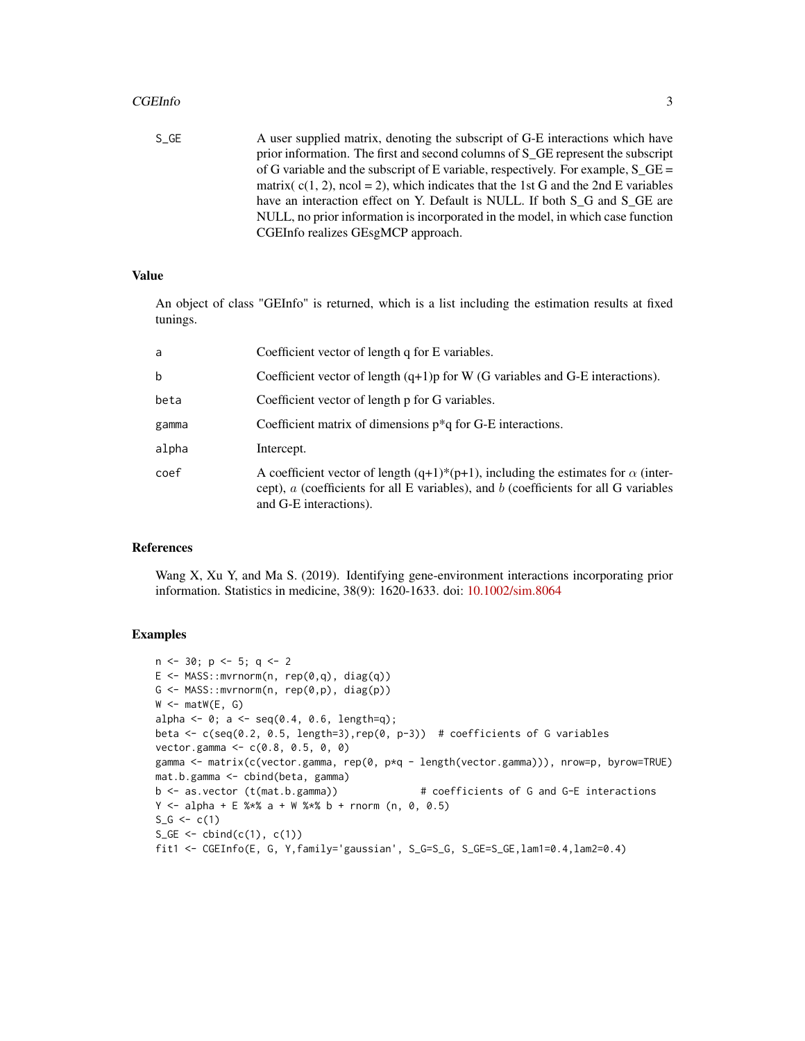#### CGEInfo 3

S\_GE A user supplied matrix, denoting the subscript of G-E interactions which have prior information. The first and second columns of S\_GE represent the subscript of G variable and the subscript of E variable, respectively. For example,  $S$  GE = matrix( $c(1, 2)$ , ncol = 2), which indicates that the 1st G and the 2nd E variables have an interaction effect on Y. Default is NULL. If both S\_G and S\_GE are NULL, no prior information is incorporated in the model, in which case function CGEInfo realizes GEsgMCP approach.

# Value

An object of class "GEInfo" is returned, which is a list including the estimation results at fixed tunings.

| Coefficient vector of length q for E variables.                                                                                                                                                                   |
|-------------------------------------------------------------------------------------------------------------------------------------------------------------------------------------------------------------------|
| Coefficient vector of length $(q+1)p$ for W (G variables and G-E interactions).                                                                                                                                   |
| Coefficient vector of length p for G variables.                                                                                                                                                                   |
| Coefficient matrix of dimensions $p^*q$ for G-E interactions.                                                                                                                                                     |
| Intercept.                                                                                                                                                                                                        |
| A coefficient vector of length $(q+1)*(p+1)$ , including the estimates for $\alpha$ (inter-<br>cept), $a$ (coefficients for all E variables), and $b$ (coefficients for all G variables<br>and G-E interactions). |
|                                                                                                                                                                                                                   |

#### References

Wang X, Xu Y, and Ma S. (2019). Identifying gene-environment interactions incorporating prior information. Statistics in medicine, 38(9): 1620-1633. doi: [10.1002/sim.8064](https://doi.org/10.1002/sim.8064)

```
n <- 30; p <- 5; q <- 2
E \le - MASS::mvrnorm(n, rep(0,q), diag(q))
G \leftarrow MASS::mvrnorm(n, rep(0,p), diag(p))W \leftarrow \text{matW}(E, G)alpha <- 0; a <- seq(0.4, 0.6, length=q);beta <- c(seq(0.2, 0.5, length=3),rep(0, p-3)) # coefficients of G variables
vector.gamma <- c(0.8, 0.5, 0, 0)
gamma <- matrix(c(vector.gamma, rep(0, p*q - length(vector.gamma))), nrow=p, byrow=TRUE)
mat.b.gamma <- cbind(beta, gamma)
b <- as.vector (t(mat.b.gamma)) # coefficients of G and G-E interactions
Y \le - alpha + E %*% a + W %*% b + rnorm (n, 0, 0.5)
S_G \leftarrow c(1)S_GE \leftarrow \text{cbind}(c(1), c(1))fit1 <- CGEInfo(E, G, Y,family='gaussian', S_G=S_G, S_GE=S_GE,lam1=0.4,lam2=0.4)
```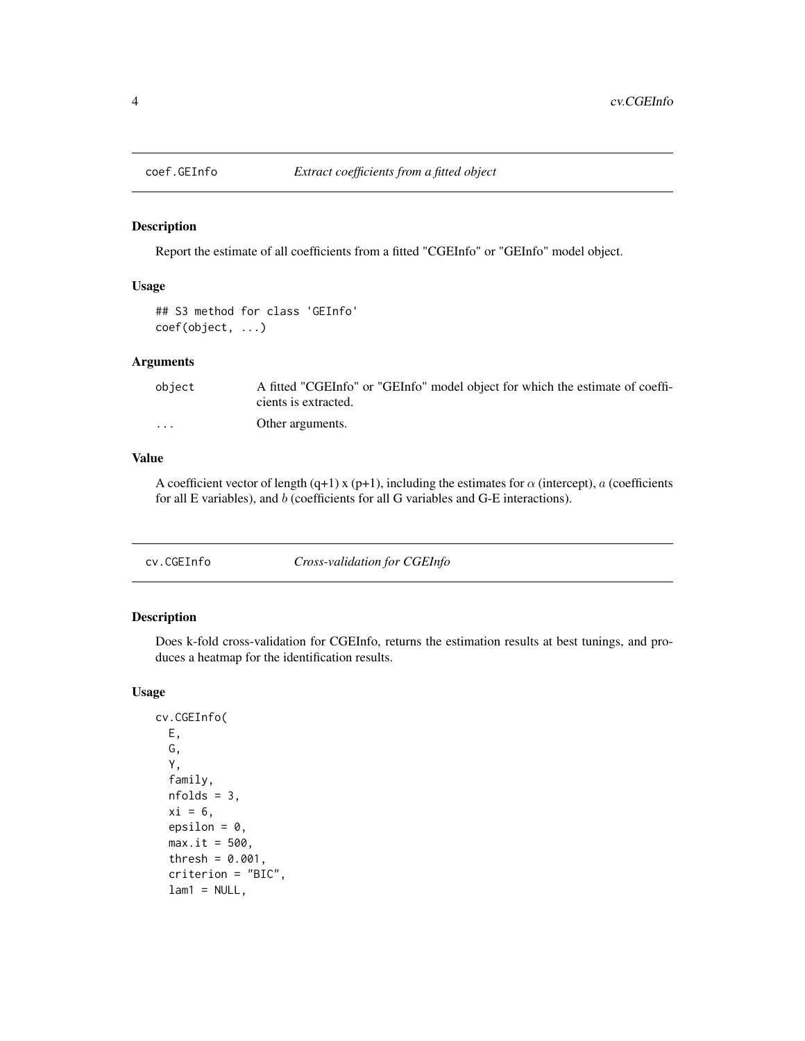<span id="page-3-0"></span>

Report the estimate of all coefficients from a fitted "CGEInfo" or "GEInfo" model object.

#### Usage

```
## S3 method for class 'GEInfo'
coef(object, ...)
```
#### Arguments

| object   | A fitted "CGEInfo" or "GEInfo" model object for which the estimate of coeffi- |
|----------|-------------------------------------------------------------------------------|
|          | cients is extracted.                                                          |
| $\cdots$ | Other arguments.                                                              |

#### Value

A coefficient vector of length (q+1) x (p+1), including the estimates for  $\alpha$  (intercept), a (coefficients for all E variables), and b (coefficients for all G variables and G-E interactions).

cv.CGEInfo *Cross-validation for CGEInfo*

# Description

Does k-fold cross-validation for CGEInfo, returns the estimation results at best tunings, and produces a heatmap for the identification results.

#### Usage

```
cv.CGEInfo(
 E,
  G,
  Y,
  family,
  nfolds = 3,
  xi = 6.
  epsilon = 0,
  max.it = 500,
  thresh = 0.001,
  criterion = "BIC",
  lam1 = NULL,
```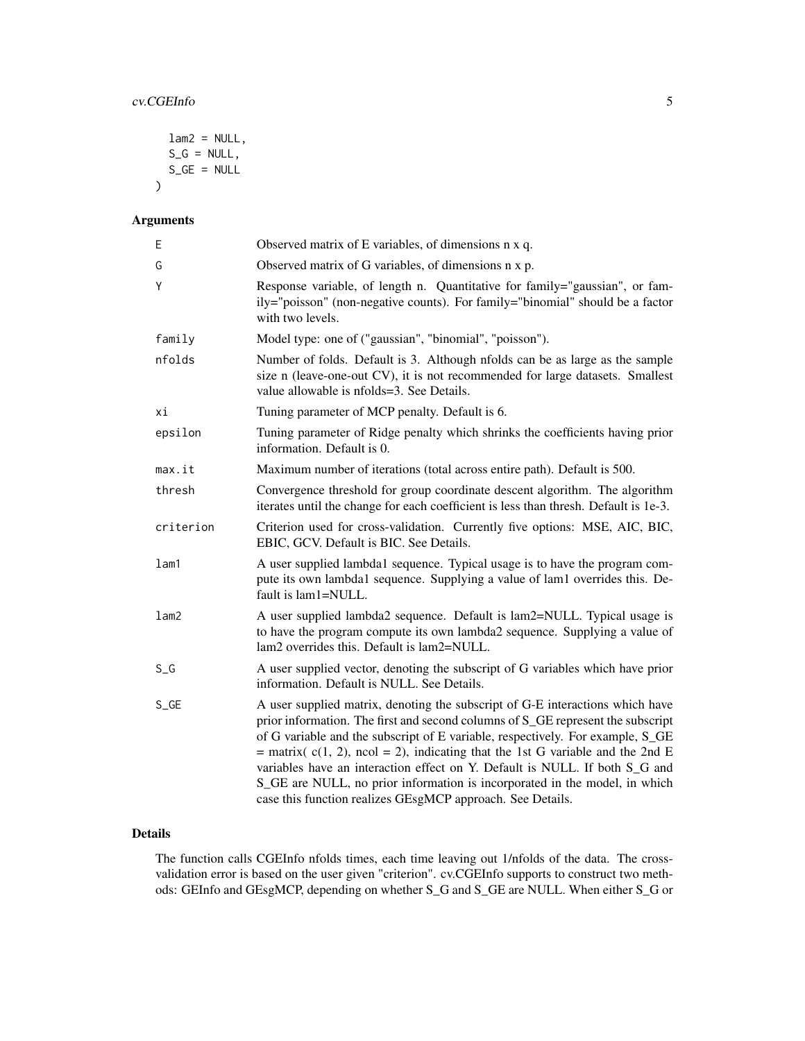```
lam2 = NULL,S_G = NULL,S_GE = NULL
```
# Arguments

 $\mathcal{L}$ 

| E         | Observed matrix of E variables, of dimensions n x q.                                                                                                                                                                                                                                                                                                                                                                                                                                                                                                               |
|-----------|--------------------------------------------------------------------------------------------------------------------------------------------------------------------------------------------------------------------------------------------------------------------------------------------------------------------------------------------------------------------------------------------------------------------------------------------------------------------------------------------------------------------------------------------------------------------|
| G         | Observed matrix of G variables, of dimensions n x p.                                                                                                                                                                                                                                                                                                                                                                                                                                                                                                               |
| Υ         | Response variable, of length n. Quantitative for family="gaussian", or fam-<br>ily="poisson" (non-negative counts). For family="binomial" should be a factor<br>with two levels.                                                                                                                                                                                                                                                                                                                                                                                   |
| family    | Model type: one of ("gaussian", "binomial", "poisson").                                                                                                                                                                                                                                                                                                                                                                                                                                                                                                            |
| nfolds    | Number of folds. Default is 3. Although nfolds can be as large as the sample<br>size n (leave-one-out CV), it is not recommended for large datasets. Smallest<br>value allowable is nfolds=3. See Details.                                                                                                                                                                                                                                                                                                                                                         |
| хi        | Tuning parameter of MCP penalty. Default is 6.                                                                                                                                                                                                                                                                                                                                                                                                                                                                                                                     |
| epsilon   | Tuning parameter of Ridge penalty which shrinks the coefficients having prior<br>information. Default is 0.                                                                                                                                                                                                                                                                                                                                                                                                                                                        |
| max.it    | Maximum number of iterations (total across entire path). Default is 500.                                                                                                                                                                                                                                                                                                                                                                                                                                                                                           |
| thresh    | Convergence threshold for group coordinate descent algorithm. The algorithm<br>iterates until the change for each coefficient is less than thresh. Default is 1e-3.                                                                                                                                                                                                                                                                                                                                                                                                |
| criterion | Criterion used for cross-validation. Currently five options: MSE, AIC, BIC,<br>EBIC, GCV. Default is BIC. See Details.                                                                                                                                                                                                                                                                                                                                                                                                                                             |
| lam1      | A user supplied lambda1 sequence. Typical usage is to have the program com-<br>pute its own lambda1 sequence. Supplying a value of lam1 overrides this. De-<br>fault is lam1=NULL.                                                                                                                                                                                                                                                                                                                                                                                 |
| lam2      | A user supplied lambda2 sequence. Default is lam2=NULL. Typical usage is<br>to have the program compute its own lambda2 sequence. Supplying a value of<br>lam2 overrides this. Default is lam2=NULL.                                                                                                                                                                                                                                                                                                                                                               |
| $S_G$     | A user supplied vector, denoting the subscript of G variables which have prior<br>information. Default is NULL. See Details.                                                                                                                                                                                                                                                                                                                                                                                                                                       |
| $S_GE$    | A user supplied matrix, denoting the subscript of G-E interactions which have<br>prior information. The first and second columns of S_GE represent the subscript<br>of G variable and the subscript of E variable, respectively. For example, S_GE<br>= matrix( $c(1, 2)$ , ncol = 2), indicating that the 1st G variable and the 2nd E<br>variables have an interaction effect on Y. Default is NULL. If both S_G and<br>S_GE are NULL, no prior information is incorporated in the model, in which<br>case this function realizes GEsgMCP approach. See Details. |

# Details

The function calls CGEInfo nfolds times, each time leaving out 1/nfolds of the data. The crossvalidation error is based on the user given "criterion". cv.CGEInfo supports to construct two methods: GEInfo and GEsgMCP, depending on whether S\_G and S\_GE are NULL. When either S\_G or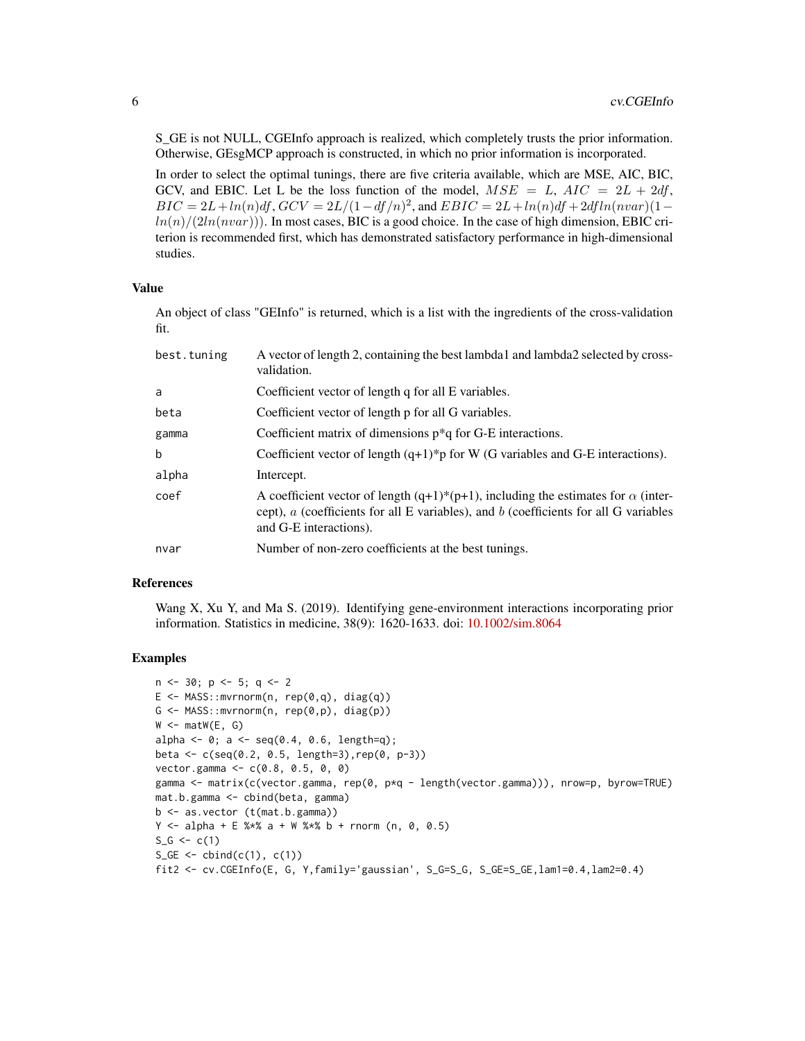S\_GE is not NULL, CGEInfo approach is realized, which completely trusts the prior information. Otherwise, GEsgMCP approach is constructed, in which no prior information is incorporated.

In order to select the optimal tunings, there are five criteria available, which are MSE, AIC, BIC, GCV, and EBIC. Let L be the loss function of the model,  $MSE = L$ ,  $AIC = 2L + 2df$ ,  $BIC = 2L + ln(n)df$ ,  $GCV = 2L/(1 - df/n)^2$ , and  $EBIC = 2L + ln(n)df + 2dfln(nvar)(1 \frac{ln(n)}{2ln(nvar)})$ . In most cases, BIC is a good choice. In the case of high dimension, EBIC criterion is recommended first, which has demonstrated satisfactory performance in high-dimensional studies.

#### Value

An object of class "GEInfo" is returned, which is a list with the ingredients of the cross-validation fit.

| best.tuning | A vector of length 2, containing the best lambda1 and lambda2 selected by cross-<br>validation.                                                                                                                    |
|-------------|--------------------------------------------------------------------------------------------------------------------------------------------------------------------------------------------------------------------|
| a           | Coefficient vector of length q for all E variables.                                                                                                                                                                |
| beta        | Coefficient vector of length p for all G variables.                                                                                                                                                                |
| gamma       | Coefficient matrix of dimensions $p^*q$ for G-E interactions.                                                                                                                                                      |
| b           | Coefficient vector of length $(q+1)^*p$ for W (G variables and G-E interactions).                                                                                                                                  |
| alpha       | Intercept.                                                                                                                                                                                                         |
| coef        | A coefficient vector of length $(q+1)^*(p+1)$ , including the estimates for $\alpha$ (inter-<br>cept), $a$ (coefficients for all E variables), and $b$ (coefficients for all G variables<br>and G-E interactions). |
| nvar        | Number of non-zero coefficients at the best tunings.                                                                                                                                                               |

#### References

Wang X, Xu Y, and Ma S. (2019). Identifying gene-environment interactions incorporating prior information. Statistics in medicine, 38(9): 1620-1633. doi: [10.1002/sim.8064](https://doi.org/10.1002/sim.8064)

```
n \le -30; p \le -5; q \le -2E \le - MASS::mvrnorm(n, rep(0,q), diag(q))
G \leftarrow MASS::mvrnorm(n, rep(0,p), diag(p))
W \leq - matW(E, G)
alpha \leq -0; a \leq - seq(0.4, 0.6, length=q);
beta <- c(seq(0.2, 0.5, length=3),rep(0, p-3))
vector.gamma <- c(0.8, 0.5, 0, 0)
gamma <- matrix(c(vector.gamma, rep(0, p*q - length(vector.gamma))), nrow=p, byrow=TRUE)
mat.b.gamma <- cbind(beta, gamma)
b <- as.vector (t(mat.b.gamma))
Y \le - alpha + E %*% a + W %*% b + rnorm (n, 0, 0.5)
S_G \leftarrow c(1)S_GE \leftarrow \text{cbind}(c(1), c(1))fit2 <- cv.CGEInfo(E, G, Y,family='gaussian', S_G=S_G, S_GE=S_GE,lam1=0.4,lam2=0.4)
```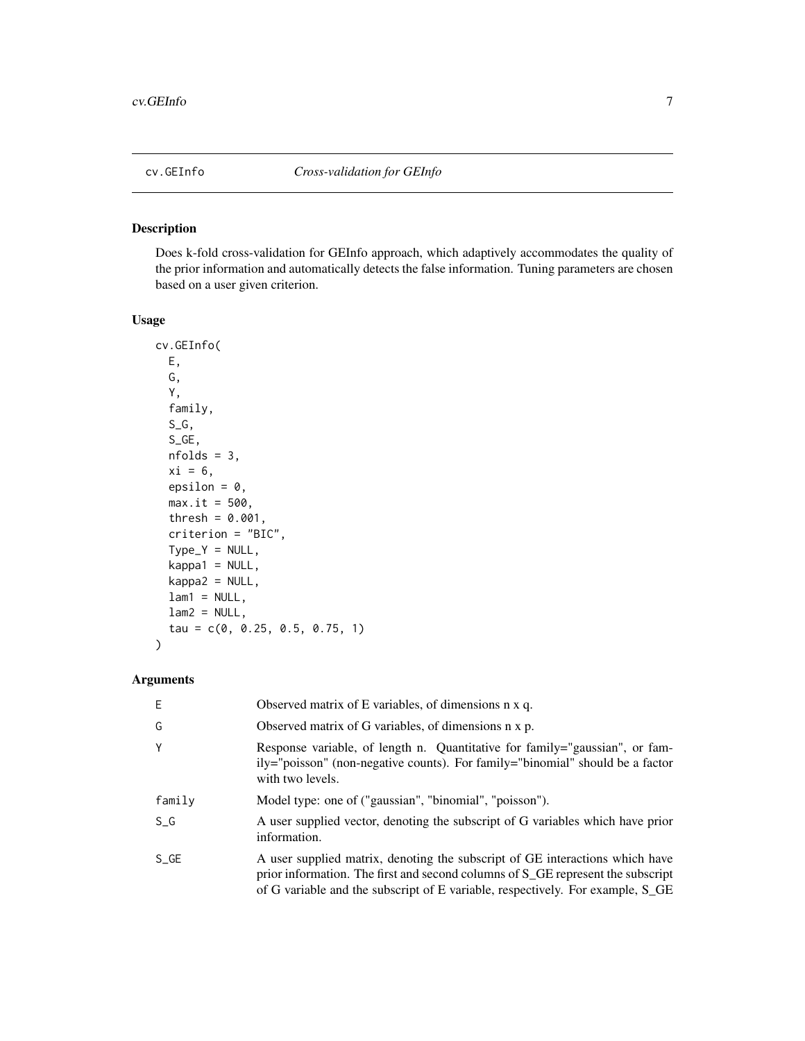<span id="page-6-0"></span>Does k-fold cross-validation for GEInfo approach, which adaptively accommodates the quality of the prior information and automatically detects the false information. Tuning parameters are chosen based on a user given criterion.

#### Usage

```
cv.GEInfo(
 E,
  G,
  Y,
  family,
  S_G,
  S_GE,
 nfolds = 3,
  xi = 6,
 epsilon = 0,
 max.it = 500,thresh = 0.001,
  criterion = "BIC",
  Type_Y = NULL,kappa1 = NULL,kappa2 = NULL,
  lam1 = NULL,lam2 = NULL,tau = c(0, 0.25, 0.5, 0.75, 1)
)
```

| Е      | Observed matrix of E variables, of dimensions n x q.                                                                                                                                                                                                          |
|--------|---------------------------------------------------------------------------------------------------------------------------------------------------------------------------------------------------------------------------------------------------------------|
| G      | Observed matrix of G variables, of dimensions n x p.                                                                                                                                                                                                          |
| Υ      | Response variable, of length n. Quantitative for family="gaussian", or fam-<br>ily="poisson" (non-negative counts). For family="binomial" should be a factor<br>with two levels.                                                                              |
| family | Model type: one of ("gaussian", "binomial", "poisson").                                                                                                                                                                                                       |
| S G    | A user supplied vector, denoting the subscript of G variables which have prior<br>information.                                                                                                                                                                |
| S GE   | A user supplied matrix, denoting the subscript of GE interactions which have<br>prior information. The first and second columns of S <sub></sub> GE represent the subscript<br>of G variable and the subscript of E variable, respectively. For example, S_GE |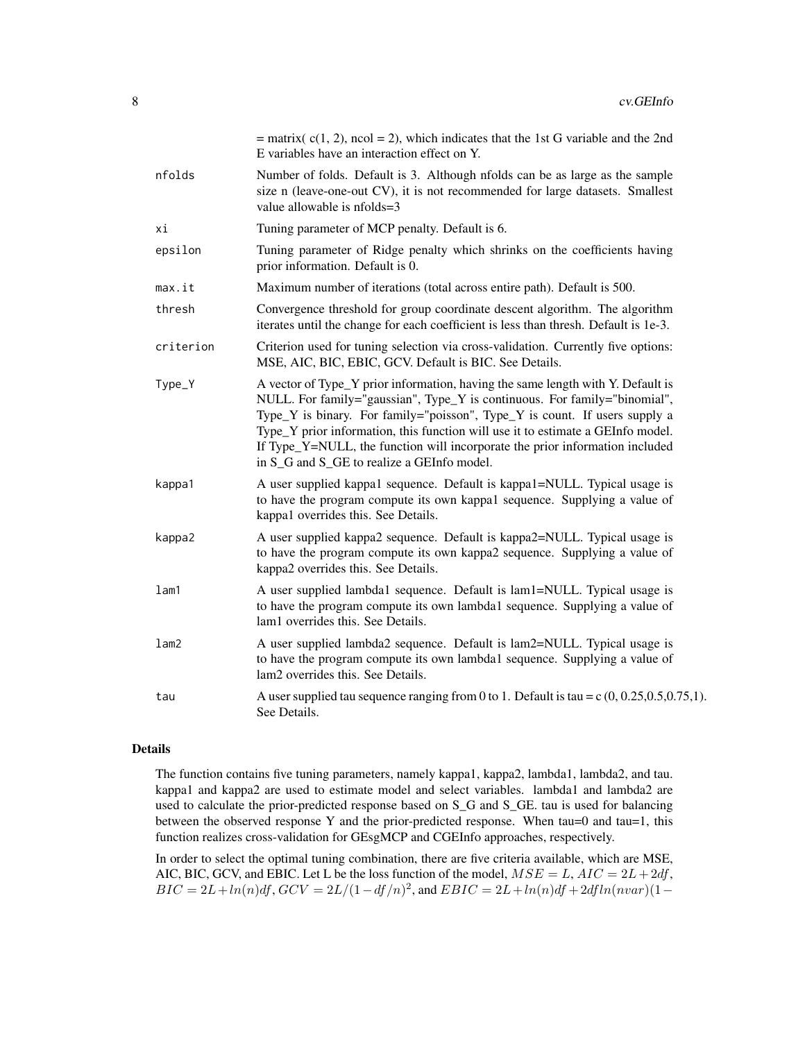|           | = matrix( $c(1, 2)$ , ncol = 2), which indicates that the 1st G variable and the 2nd<br>E variables have an interaction effect on Y.                                                                                                                                                                                                                                                                                                                        |
|-----------|-------------------------------------------------------------------------------------------------------------------------------------------------------------------------------------------------------------------------------------------------------------------------------------------------------------------------------------------------------------------------------------------------------------------------------------------------------------|
| nfolds    | Number of folds. Default is 3. Although nfolds can be as large as the sample<br>size n (leave-one-out CV), it is not recommended for large datasets. Smallest<br>value allowable is nfolds=3                                                                                                                                                                                                                                                                |
| хi        | Tuning parameter of MCP penalty. Default is 6.                                                                                                                                                                                                                                                                                                                                                                                                              |
| epsilon   | Tuning parameter of Ridge penalty which shrinks on the coefficients having<br>prior information. Default is 0.                                                                                                                                                                                                                                                                                                                                              |
| max.it    | Maximum number of iterations (total across entire path). Default is 500.                                                                                                                                                                                                                                                                                                                                                                                    |
| thresh    | Convergence threshold for group coordinate descent algorithm. The algorithm<br>iterates until the change for each coefficient is less than thresh. Default is 1e-3.                                                                                                                                                                                                                                                                                         |
| criterion | Criterion used for tuning selection via cross-validation. Currently five options:<br>MSE, AIC, BIC, EBIC, GCV. Default is BIC. See Details.                                                                                                                                                                                                                                                                                                                 |
| Type_Y    | A vector of Type_Y prior information, having the same length with Y. Default is<br>NULL. For family="gaussian", Type_Y is continuous. For family="binomial",<br>Type_Y is binary. For family="poisson", Type_Y is count. If users supply a<br>Type_Y prior information, this function will use it to estimate a GEInfo model.<br>If Type_Y=NULL, the function will incorporate the prior information included<br>in S_G and S_GE to realize a GEInfo model. |
| kappa1    | A user supplied kappa1 sequence. Default is kappa1=NULL. Typical usage is<br>to have the program compute its own kappa1 sequence. Supplying a value of<br>kappa1 overrides this. See Details.                                                                                                                                                                                                                                                               |
| kappa2    | A user supplied kappa2 sequence. Default is kappa2=NULL. Typical usage is<br>to have the program compute its own kappa2 sequence. Supplying a value of<br>kappa2 overrides this. See Details.                                                                                                                                                                                                                                                               |
| lam1      | A user supplied lambda1 sequence. Default is lam1=NULL. Typical usage is<br>to have the program compute its own lambda1 sequence. Supplying a value of<br>lam1 overrides this. See Details.                                                                                                                                                                                                                                                                 |
| lam2      | A user supplied lambda2 sequence. Default is lam2=NULL. Typical usage is<br>to have the program compute its own lambda1 sequence. Supplying a value of<br>lam2 overrides this. See Details.                                                                                                                                                                                                                                                                 |
| tau       | A user supplied tau sequence ranging from 0 to 1. Default is tau = $c$ (0, 0.25, 0.5, 0.75, 1).<br>See Details.                                                                                                                                                                                                                                                                                                                                             |

#### Details

The function contains five tuning parameters, namely kappa1, kappa2, lambda1, lambda2, and tau. kappa1 and kappa2 are used to estimate model and select variables. lambda1 and lambda2 are used to calculate the prior-predicted response based on S\_G and S\_GE. tau is used for balancing between the observed response Y and the prior-predicted response. When  $tau=0$  and  $tau=1$ , this function realizes cross-validation for GEsgMCP and CGEInfo approaches, respectively.

In order to select the optimal tuning combination, there are five criteria available, which are MSE, AIC, BIC, GCV, and EBIC. Let L be the loss function of the model,  $MSE = L$ ,  $AIC = 2L + 2df$ ,  $BIC = 2L + ln(n)df$ ,  $GCV = 2L/(1 - df/n)^2$ , and  $EBIC = 2L + ln(n)df + 2dfln(nvar)(1 -$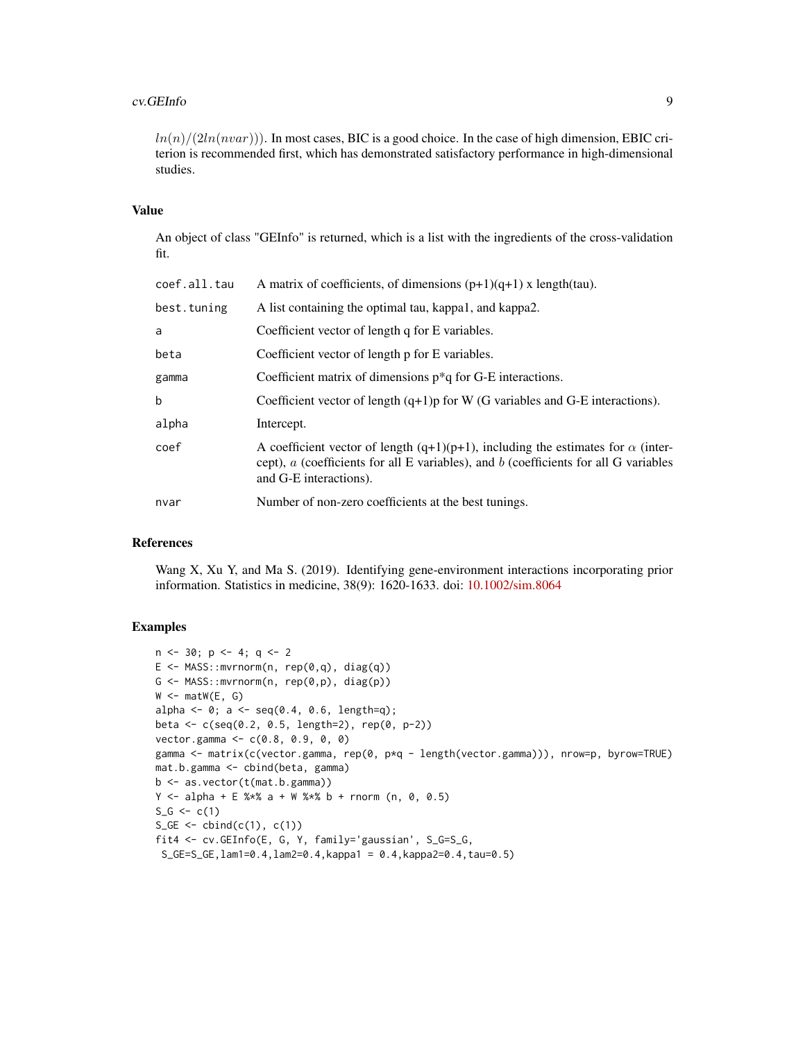#### cv.GEInfo 9

 $ln(n)/(2ln(nvar))$ . In most cases, BIC is a good choice. In the case of high dimension, EBIC criterion is recommended first, which has demonstrated satisfactory performance in high-dimensional studies.

#### Value

An object of class "GEInfo" is returned, which is a list with the ingredients of the cross-validation fit.

| coef.all.tau | A matrix of coefficients, of dimensions $(p+1)(q+1)$ x length(tau).                                                                                                                                           |
|--------------|---------------------------------------------------------------------------------------------------------------------------------------------------------------------------------------------------------------|
| best.tuning  | A list containing the optimal tau, kappa1, and kappa2.                                                                                                                                                        |
| a            | Coefficient vector of length q for E variables.                                                                                                                                                               |
| beta         | Coefficient vector of length p for E variables.                                                                                                                                                               |
| gamma        | Coefficient matrix of dimensions $p * q$ for G-E interactions.                                                                                                                                                |
| b            | Coefficient vector of length $(q+1)p$ for W (G variables and G-E interactions).                                                                                                                               |
| alpha        | Intercept.                                                                                                                                                                                                    |
| coef         | A coefficient vector of length (q+1)(p+1), including the estimates for $\alpha$ (inter-<br>cept), $a$ (coefficients for all E variables), and $b$ (coefficients for all G variables<br>and G-E interactions). |
| nvar         | Number of non-zero coefficients at the best tunings.                                                                                                                                                          |
|              |                                                                                                                                                                                                               |

#### References

Wang X, Xu Y, and Ma S. (2019). Identifying gene-environment interactions incorporating prior information. Statistics in medicine, 38(9): 1620-1633. doi: [10.1002/sim.8064](https://doi.org/10.1002/sim.8064)

```
n \le -30; p \le -4; q \le -2E <- MASS::mvrnorm(n, rep(0,q), diag(q))
G \leftarrow MASS::mvrnorm(n, rep(0,p), diag(p))W \leftarrow \text{matW}(E, G)alpha <- 0; a <- seq(0.4, 0.6, length=q);beta <- c(seq(0.2, 0.5, length=2), rep(0, p-2))
vector.gamma <- c(0.8, 0.9, 0, 0)
gamma <- matrix(c(vector.gamma, rep(0, p*q - length(vector.gamma))), nrow=p, byrow=TRUE)
mat.b.gamma <- cbind(beta, gamma)
b <- as.vector(t(mat.b.gamma))
Y \le - alpha + E %*% a + W %*% b + rnorm (n, 0, 0.5)
S_G \leftarrow c(1)S_GE \leftarrow \text{cbind}(c(1), c(1))fit4 <- cv.GEInfo(E, G, Y, family='gaussian', S_G=S_G,
 S_GE=S_GE,lam1=0.4,lam2=0.4,kappa1 = 0.4,kappa2=0.4,tau=0.5)
```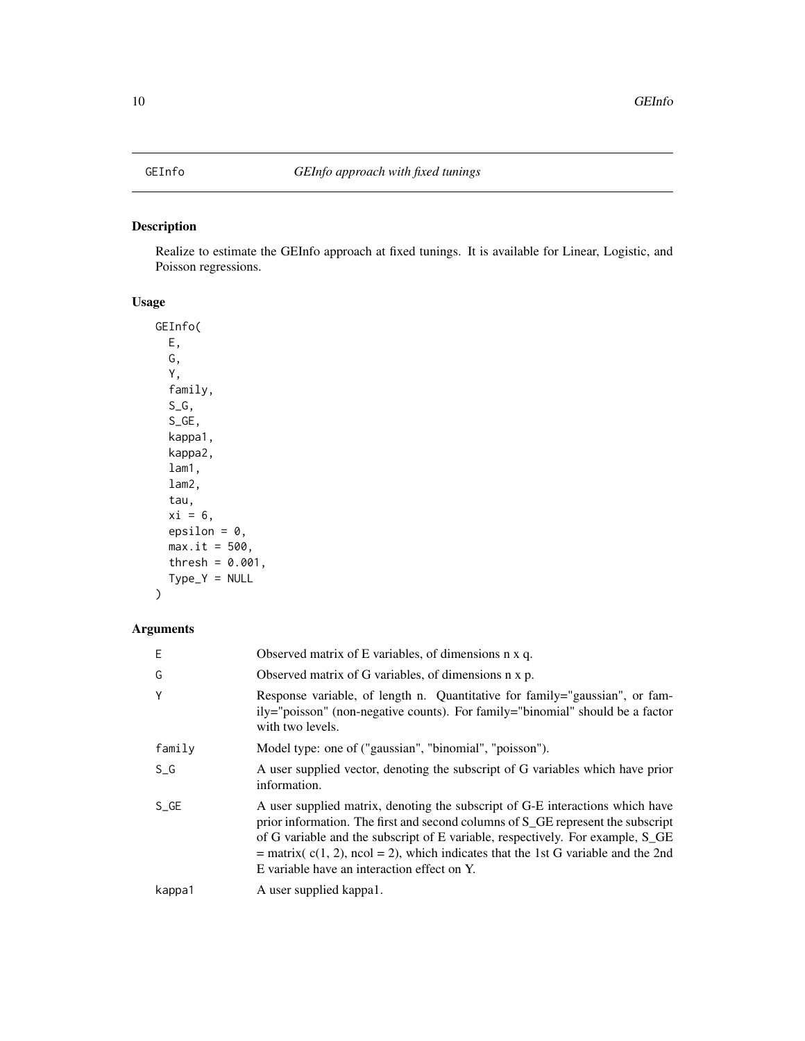<span id="page-9-0"></span>Realize to estimate the GEInfo approach at fixed tunings. It is available for Linear, Logistic, and Poisson regressions.

# Usage

GEInfo( E, G, Y, family, S\_G, S\_GE, kappa1, kappa2, lam1, lam2, tau,  $xi = 6$ , epsilon =  $0$ ,  $max.it = 500,$ thresh =  $0.001$ ,  $Type_Y = NULL$ )

| Е      | Observed matrix of E variables, of dimensions n x q.                                                                                                                                                                                                                                                                                                                                                  |
|--------|-------------------------------------------------------------------------------------------------------------------------------------------------------------------------------------------------------------------------------------------------------------------------------------------------------------------------------------------------------------------------------------------------------|
| G      | Observed matrix of G variables, of dimensions n x p.                                                                                                                                                                                                                                                                                                                                                  |
| Υ      | Response variable, of length n. Quantitative for family="gaussian", or fam-<br>ily="poisson" (non-negative counts). For family="binomial" should be a factor<br>with two levels.                                                                                                                                                                                                                      |
| family | Model type: one of ("gaussian", "binomial", "poisson").                                                                                                                                                                                                                                                                                                                                               |
| S G    | A user supplied vector, denoting the subscript of G variables which have prior<br>information.                                                                                                                                                                                                                                                                                                        |
| $S_GE$ | A user supplied matrix, denoting the subscript of G-E interactions which have<br>prior information. The first and second columns of S <sub></sub> GE represent the subscript<br>of G variable and the subscript of E variable, respectively. For example, S_GE<br>= matrix( $c(1, 2)$ , ncol = 2), which indicates that the 1st G variable and the 2nd<br>E variable have an interaction effect on Y. |
| kappa1 | A user supplied kappa1.                                                                                                                                                                                                                                                                                                                                                                               |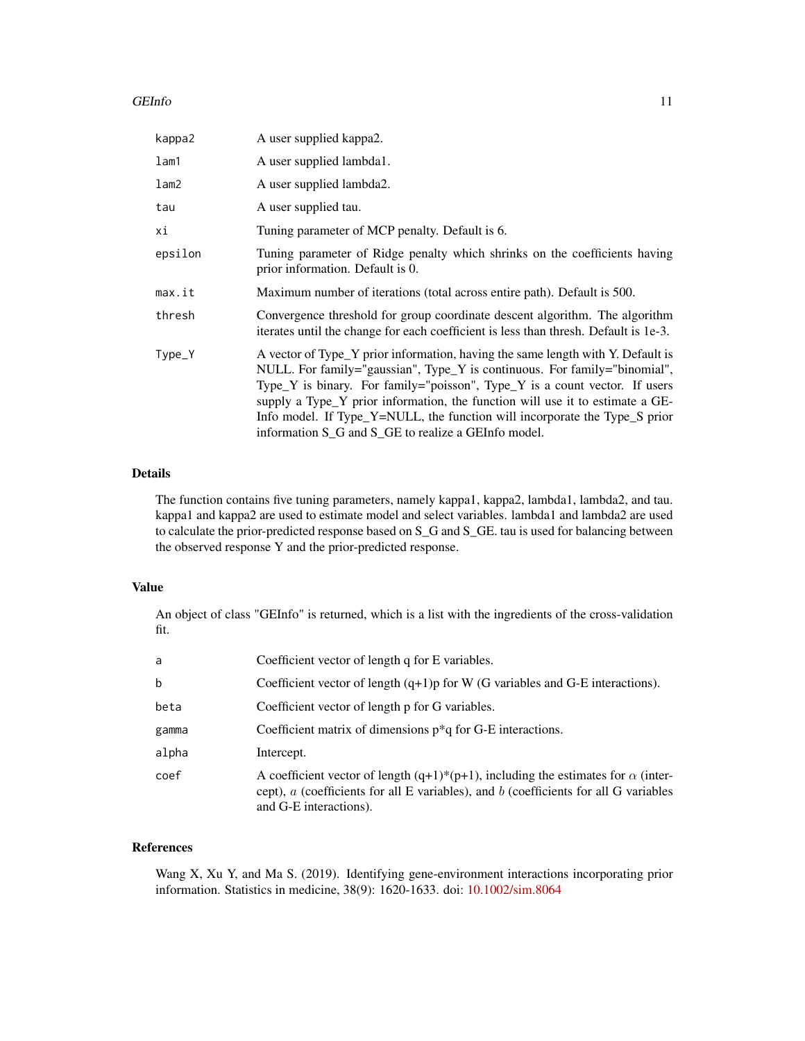#### GEInfo 11

| kappa2  | A user supplied kappa2.                                                                                                                                                                                                                                                                                                                                                                                                                                          |
|---------|------------------------------------------------------------------------------------------------------------------------------------------------------------------------------------------------------------------------------------------------------------------------------------------------------------------------------------------------------------------------------------------------------------------------------------------------------------------|
| lam1    | A user supplied lambda1.                                                                                                                                                                                                                                                                                                                                                                                                                                         |
| lam2    | A user supplied lambda2.                                                                                                                                                                                                                                                                                                                                                                                                                                         |
| tau     | A user supplied tau.                                                                                                                                                                                                                                                                                                                                                                                                                                             |
| хi      | Tuning parameter of MCP penalty. Default is 6.                                                                                                                                                                                                                                                                                                                                                                                                                   |
| epsilon | Tuning parameter of Ridge penalty which shrinks on the coefficients having<br>prior information. Default is 0.                                                                                                                                                                                                                                                                                                                                                   |
| max.it  | Maximum number of iterations (total across entire path). Default is 500.                                                                                                                                                                                                                                                                                                                                                                                         |
| thresh  | Convergence threshold for group coordinate descent algorithm. The algorithm<br>iterates until the change for each coefficient is less than thresh. Default is 1e-3.                                                                                                                                                                                                                                                                                              |
| Type_Y  | A vector of Type_Y prior information, having the same length with Y. Default is<br>NULL. For family="gaussian", Type_Y is continuous. For family="binomial",<br>Type_Y is binary. For family="poisson", Type_Y is a count vector. If users<br>supply a Type_Y prior information, the function will use it to estimate a GE-<br>Info model. If Type_Y=NULL, the function will incorporate the Type_S prior<br>information S_G and S_GE to realize a GEInfo model. |

#### Details

The function contains five tuning parameters, namely kappa1, kappa2, lambda1, lambda2, and tau. kappa1 and kappa2 are used to estimate model and select variables. lambda1 and lambda2 are used to calculate the prior-predicted response based on S\_G and S\_GE. tau is used for balancing between the observed response Y and the prior-predicted response.

### Value

An object of class "GEInfo" is returned, which is a list with the ingredients of the cross-validation fit.

| a     | Coefficient vector of length q for E variables.                                                                                                                                                                   |
|-------|-------------------------------------------------------------------------------------------------------------------------------------------------------------------------------------------------------------------|
| b     | Coefficient vector of length $(q+1)p$ for W (G variables and G-E interactions).                                                                                                                                   |
| beta  | Coefficient vector of length p for G variables.                                                                                                                                                                   |
| gamma | Coefficient matrix of dimensions $p^*q$ for G-E interactions.                                                                                                                                                     |
| alpha | Intercept.                                                                                                                                                                                                        |
| coef  | A coefficient vector of length $(q+1)*(p+1)$ , including the estimates for $\alpha$ (inter-<br>cept), $a$ (coefficients for all E variables), and $b$ (coefficients for all G variables<br>and G-E interactions). |

# References

Wang X, Xu Y, and Ma S. (2019). Identifying gene-environment interactions incorporating prior information. Statistics in medicine, 38(9): 1620-1633. doi: [10.1002/sim.8064](https://doi.org/10.1002/sim.8064)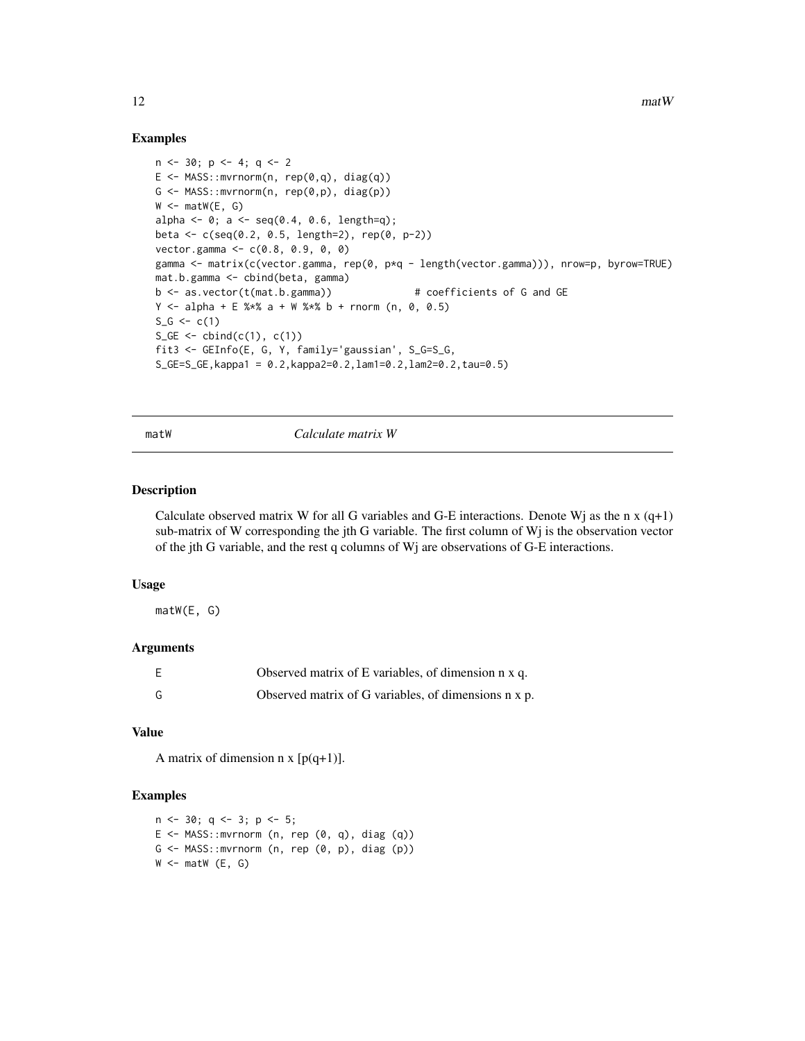#### Examples

```
n \le -30; p \le -4; q \le -2E \le - MASS:: mvrnorm(n, rep(0,q), diag(q))
G \leftarrow \text{MASS}: \text{mvrnorm}(n, \text{rep}(\emptyset, p), \text{diag}(p))W < - matW(E, G)
alpha <- 0; a <- seq(0.4, 0.6, length=q);beta <- c(seq(0.2, 0.5, length=2), rep(0, p-2))
vector.gamma <- c(0.8, 0.9, 0, 0)
gamma <- matrix(c(vector.gamma, rep(0, p*q - length(vector.gamma))), nrow=p, byrow=TRUE)
mat.b.gamma <- cbind(beta, gamma)
b <- as.vector(t(mat.b.gamma)) # coefficients of G and GE
Y \le alpha + E %*% a + W %*% b + rnorm (n, 0, 0.5)
S_G \leftarrow c(1)S_GE \leftarrow \text{cbind}(c(1), c(1))fit3 <- GEInfo(E, G, Y, family='gaussian', S_G=S_G,
S_GE=S_GE, kappa1 = 0.2, kappa2=0.2, lam1=0.2, lam2=0.2, tau=0.5)
```
matW *Calculate matrix W*

#### Description

Calculate observed matrix W for all G variables and G-E interactions. Denote Wj as the n  $x(q+1)$ sub-matrix of W corresponding the jth G variable. The first column of  $Wj$  is the observation vector of the jth G variable, and the rest q columns of Wj are observations of G-E interactions.

#### Usage

matW(E, G)

#### Arguments

| E | Observed matrix of E variables, of dimension n x q.  |
|---|------------------------------------------------------|
| G | Observed matrix of G variables, of dimensions n x p. |

### Value

A matrix of dimension  $n \times [p(q+1)].$ 

```
n \le -30; q \le -3; p \le -5;
E \le - MASS:: mvrnorm (n, rep (0, q), diag (q))
G \leftarrow MASS:: mvrnorm (n, rep (0, p), diag (p))
W \leftarrow \text{matW} (E, G)
```
<span id="page-11-0"></span>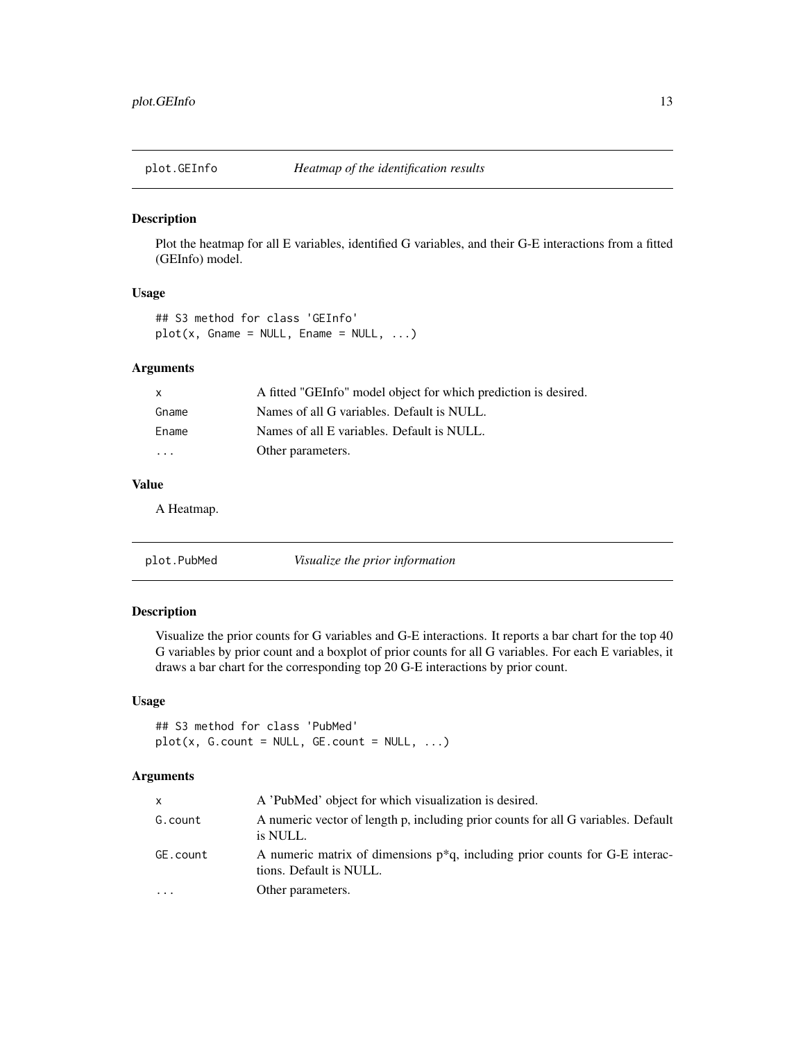<span id="page-12-0"></span>

Plot the heatmap for all E variables, identified G variables, and their G-E interactions from a fitted (GEInfo) model.

#### Usage

```
## S3 method for class 'GEInfo'
plot(x, \text{Game} = NULL, \text{Ename} = NULL, ...)
```
#### Arguments

| $\mathsf{X}$            | A fitted "GEInfo" model object for which prediction is desired. |
|-------------------------|-----------------------------------------------------------------|
| Gname                   | Names of all G variables. Default is NULL.                      |
| Ename                   | Names of all E variables. Default is NULL.                      |
| $\cdot$ $\cdot$ $\cdot$ | Other parameters.                                               |
|                         |                                                                 |

# Value

A Heatmap.

| plot.PubMed |
|-------------|
|-------------|

#### Description

Visualize the prior counts for G variables and G-E interactions. It reports a bar chart for the top 40 G variables by prior count and a boxplot of prior counts for all G variables. For each E variables, it draws a bar chart for the corresponding top 20 G-E interactions by prior count.

### Usage

## S3 method for class 'PubMed'  $plot(x, G.count = NULL, GE.count = NULL, ...)$ 

| x        | A 'PubMed' object for which visualization is desired.                                                      |
|----------|------------------------------------------------------------------------------------------------------------|
| G.count  | A numeric vector of length p, including prior counts for all G variables. Default<br>is NULL.              |
| GE.count | A numeric matrix of dimensions $p^*q$ , including prior counts for G-E interac-<br>tions. Default is NULL. |
| .        | Other parameters.                                                                                          |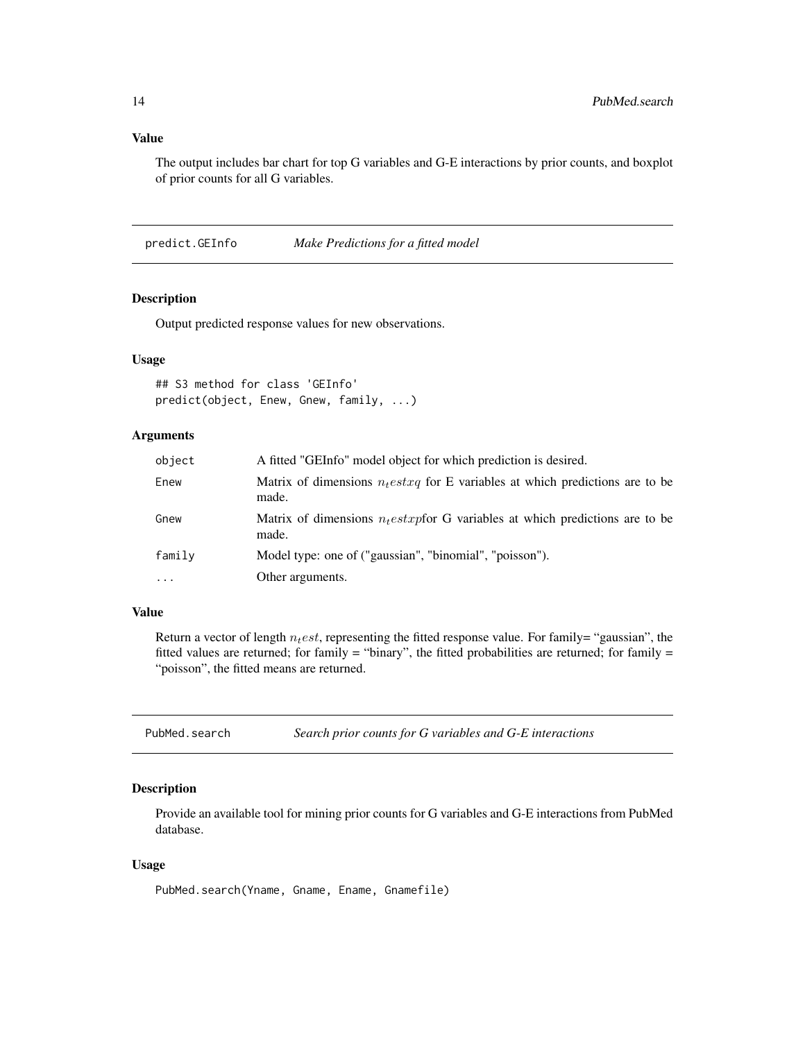#### <span id="page-13-0"></span>Value

The output includes bar chart for top G variables and G-E interactions by prior counts, and boxplot of prior counts for all G variables.

predict.GEInfo *Make Predictions for a fitted model*

#### Description

Output predicted response values for new observations.

#### Usage

## S3 method for class 'GEInfo' predict(object, Enew, Gnew, family, ...)

# Arguments

| object   | A fitted "GEInfo" model object for which prediction is desired.                          |
|----------|------------------------------------------------------------------------------------------|
| Enew     | Matrix of dimensions $n_t$ estxq for E variables at which predictions are to be<br>made. |
| Gnew     | Matrix of dimensions $n_t$ estxpfor G variables at which predictions are to be<br>made.  |
| family   | Model type: one of ("gaussian", "binomial", "poisson").                                  |
| $\cdots$ | Other arguments.                                                                         |

#### Value

Return a vector of length  $n_t est$ , representing the fitted response value. For family= "gaussian", the fitted values are returned; for family = "binary", the fitted probabilities are returned; for family = "poisson", the fitted means are returned.

PubMed.search *Search prior counts for G variables and G-E interactions*

# Description

Provide an available tool for mining prior counts for G variables and G-E interactions from PubMed database.

#### Usage

PubMed.search(Yname, Gname, Ename, Gnamefile)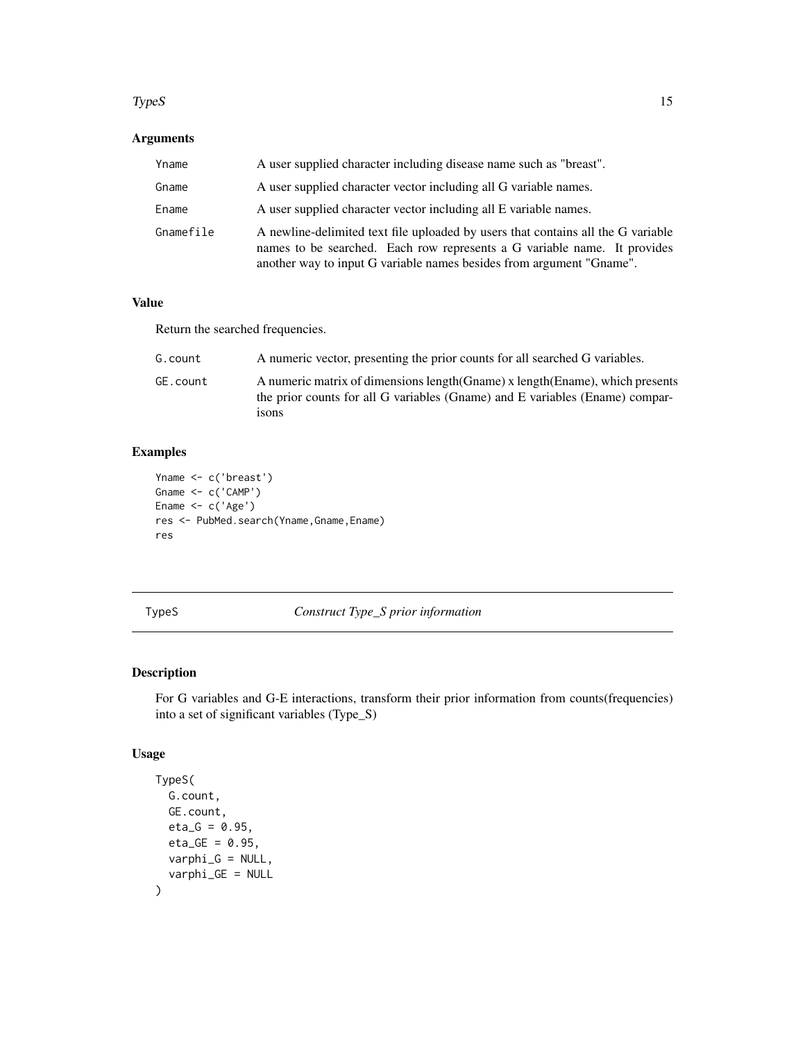#### <span id="page-14-0"></span> $TypeS$  15

# Arguments

| Yname     | A user supplied character including disease name such as "breast".                                                                                                                                                                   |
|-----------|--------------------------------------------------------------------------------------------------------------------------------------------------------------------------------------------------------------------------------------|
| Gname     | A user supplied character vector including all G variable names.                                                                                                                                                                     |
| Ename     | A user supplied character vector including all E variable names.                                                                                                                                                                     |
| Gnamefile | A newline-delimited text file uploaded by users that contains all the G variable<br>names to be searched. Each row represents a G variable name. It provides<br>another way to input G variable names besides from argument "Gname". |

# Value

Return the searched frequencies.

| G.count  | A numeric vector, presenting the prior counts for all searched G variables.                                                                                              |
|----------|--------------------------------------------------------------------------------------------------------------------------------------------------------------------------|
| GE.count | A numeric matrix of dimensions length (Gname) x length (Ename), which presents<br>the prior counts for all G variables (Gname) and E variables (Ename) compar-<br>1SONS. |

# Examples

```
Yname <- c('breast')
Gname <- c('CAMP')
Ename <- c('Age')
res <- PubMed.search(Yname,Gname,Ename)
res
```
# TypeS *Construct Type\_S prior information*

# Description

For G variables and G-E interactions, transform their prior information from counts(frequencies) into a set of significant variables (Type\_S)

# Usage

```
TypeS(
  G.count,
  GE.count,
  eta_G = 0.95,
  eta_GE = 0.95,
  varphi_iG = NULL,
  varphi_GE = NULL
\mathcal{E}
```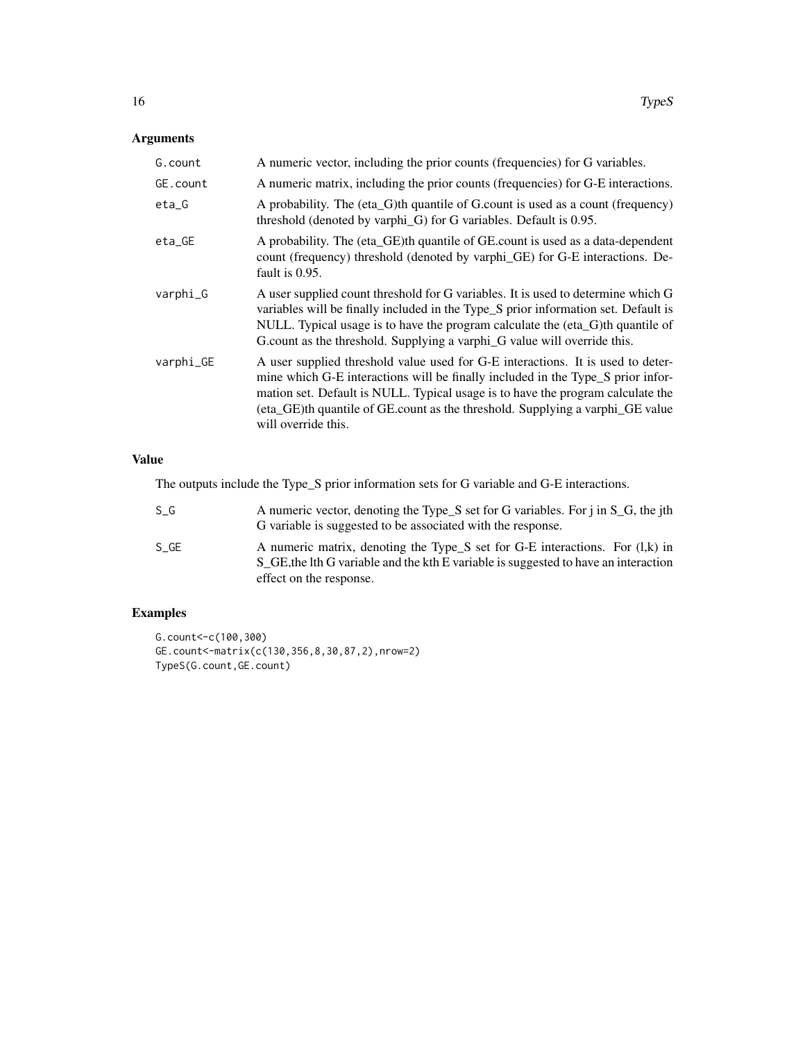# Arguments

| G. count  | A numeric vector, including the prior counts (frequencies) for G variables.                                                                                                                                                                                                                                                                                   |
|-----------|---------------------------------------------------------------------------------------------------------------------------------------------------------------------------------------------------------------------------------------------------------------------------------------------------------------------------------------------------------------|
| GE.count  | A numeric matrix, including the prior counts (frequencies) for G-E interactions.                                                                                                                                                                                                                                                                              |
| $eta_G$   | A probability. The (eta_G)th quantile of G.count is used as a count (frequency)<br>threshold (denoted by varphi_G) for G variables. Default is 0.95.                                                                                                                                                                                                          |
| $eta_GE$  | A probability. The (eta_GE)th quantile of GE.count is used as a data-dependent<br>count (frequency) threshold (denoted by varphi_GE) for G-E interactions. De-<br>fault is 0.95.                                                                                                                                                                              |
| varphi_G  | A user supplied count threshold for G variables. It is used to determine which G<br>variables will be finally included in the Type_S prior information set. Default is<br>NULL. Typical usage is to have the program calculate the (eta_G)th quantile of<br>G.count as the threshold. Supplying a varphi_G value will override this.                          |
| varphi_GE | A user supplied threshold value used for G-E interactions. It is used to deter-<br>mine which G-E interactions will be finally included in the Type_S prior infor-<br>mation set. Default is NULL. Typical usage is to have the program calculate the<br>(eta_GE)th quantile of GE.count as the threshold. Supplying a varphi_GE value<br>will override this. |

# Value

The outputs include the Type\_S prior information sets for G variable and G-E interactions.

| S G  | A numeric vector, denoting the Type_S set for G variables. For j in S_G, the jth<br>G variable is suggested to be associated with the response.                                                  |
|------|--------------------------------------------------------------------------------------------------------------------------------------------------------------------------------------------------|
| S GE | A numeric matrix, denoting the Type_S set for G-E interactions. For $(l,k)$ in<br>S_GE, the lth G variable and the kth E variable is suggested to have an interaction<br>effect on the response. |

```
G.count<-c(100,300)
GE.count<-matrix(c(130,356,8,30,87,2),nrow=2)
TypeS(G.count,GE.count)
```